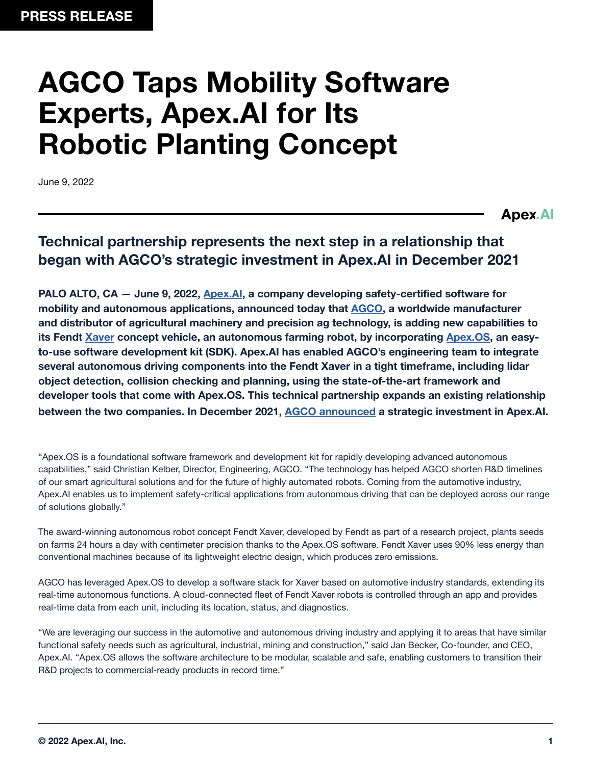# **AGCO Taps Mobility Software Experts, Apex.AI for Its Robotic Planting Concept**

June 9, 2022

**Apex.Al** 

## **Technical partnership represents the next step in a relationship that began with AGCO's strategic investment in Apex.AI in December 2021**

**PALO ALTO, CA — June 9, 2022, [Apex.AI,](http://Apex.AI) a company developing safety-certified software for mobility and autonomous applications, announced today that [AGCO,](https://www.agcocorp.com/) a worldwide manufacturer and distributor of agricultural machinery and precision ag technology, is adding new capabilities to its Fendt [Xaver](https://www.fendt.com/int/xaver) concept vehicle, an autonomous farming robot, by incorporating [Apex.OS,](https://www.apex.ai/apex-os) an easyto-use software development kit (SDK). Apex.AI has enabled AGCO's engineering team to integrate several autonomous driving components into the Fendt Xaver in a tight timeframe, including lidar object detection, collision checking and planning, using the state-of-the-art framework and developer tools that come with Apex.OS. This technical partnership expands an existing relationship between the two companies. In December 2021, [AGCO announced](https://www.businesswire.com/news/home/20211213005858/en/AGCO-Invests-in-Apex.AI-a-Developer-of-Safety-Certified-Software-for-Mobility-and-Autonomous-Applications) a strategic investment in Apex.AI.**

"Apex.OS is a foundational software framework and development kit for rapidly developing advanced autonomous capabilities," said Christian Kelber, Director, Engineering, AGCO. "The technology has helped AGCO shorten R&D timelines of our smart agricultural solutions and for the future of highly automated robots. Coming from the automotive industry, Apex.AI enables us to implement safety-critical applications from autonomous driving that can be deployed across our range of solutions globally."

The award-winning autonomous robot concept Fendt Xaver, developed by Fendt as part of a research project, plants seeds on farms 24 hours a day with centimeter precision thanks to the Apex.OS software. Fendt Xaver uses 90% less energy than conventional machines because of its lightweight electric design, which produces zero emissions.

AGCO has leveraged Apex.OS to develop a software stack for Xaver based on automotive industry standards, extending its real-time autonomous functions. A cloud-connected fleet of Fendt Xaver robots is controlled through an app and provides real-time data from each unit, including its location, status, and diagnostics.

"We are leveraging our success in the automotive and autonomous driving industry and applying it to areas that have similar functional safety needs such as agricultural, industrial, mining and construction," said Jan Becker, Co-founder, and CEO, Apex.AI. "Apex.OS allows the software architecture to be modular, scalable and safe, enabling customers to transition their R&D projects to commercial-ready products in record time."